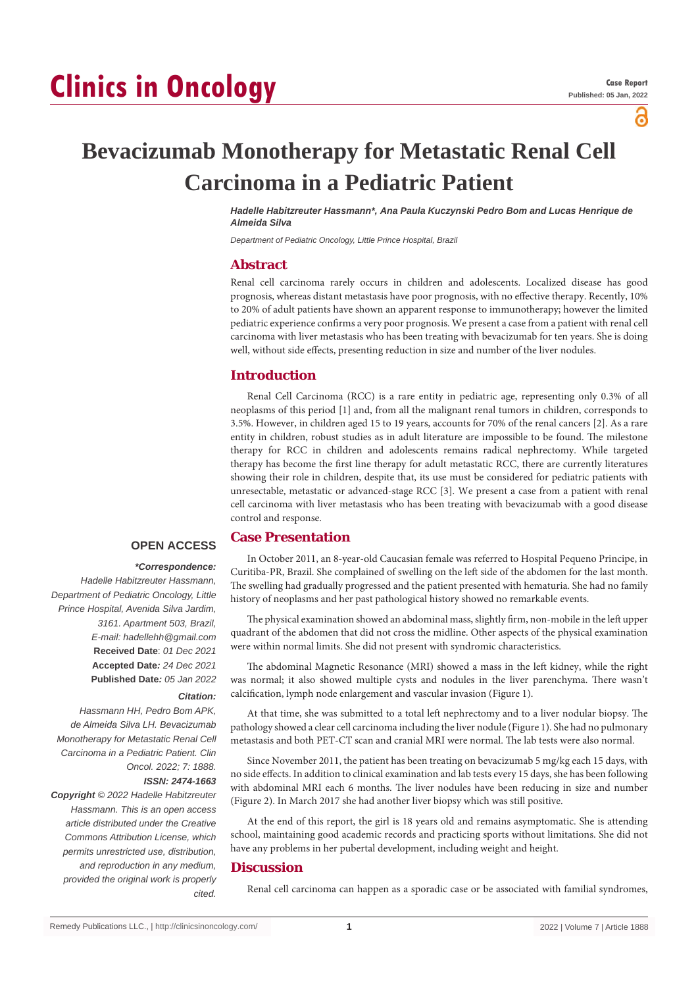# **Clinics in Oncology**

പ്പ

## **Bevacizumab Monotherapy for Metastatic Renal Cell Carcinoma in a Pediatric Patient**

*Hadelle Habitzreuter Hassmann\*, Ana Paula Kuczynski Pedro Bom and Lucas Henrique de Almeida Silva*

*Department of Pediatric Oncology, Little Prince Hospital, Brazil*

#### **Abstract**

Renal cell carcinoma rarely occurs in children and adolescents. Localized disease has good prognosis, whereas distant metastasis have poor prognosis, with no effective therapy. Recently, 10% to 20% of adult patients have shown an apparent response to immunotherapy; however the limited pediatric experience confirms a very poor prognosis. We present a case from a patient with renal cell carcinoma with liver metastasis who has been treating with bevacizumab for ten years. She is doing well, without side effects, presenting reduction in size and number of the liver nodules.

#### **Introduction**

Renal Cell Carcinoma (RCC) is a rare entity in pediatric age, representing only 0.3% of all neoplasms of this period [1] and, from all the malignant renal tumors in children, corresponds to 3.5%. However, in children aged 15 to 19 years, accounts for 70% of the renal cancers [2]. As a rare entity in children, robust studies as in adult literature are impossible to be found. The milestone therapy for RCC in children and adolescents remains radical nephrectomy. While targeted therapy has become the first line therapy for adult metastatic RCC, there are currently literatures showing their role in children, despite that, its use must be considered for pediatric patients with unresectable, metastatic or advanced-stage RCC [3]. We present a case from a patient with renal cell carcinoma with liver metastasis who has been treating with bevacizumab with a good disease control and response.

#### **OPEN ACCESS**

### *\*Correspondence:*

*Hadelle Habitzreuter Hassmann, Department of Pediatric Oncology, Little Prince Hospital, Avenida Silva Jardim, 3161. Apartment 503, Brazil, E-mail: hadellehh@gmail.com* **Received Date**: *01 Dec 2021* **Accepted Date***: 24 Dec 2021* **Published Date***: 05 Jan 2022*

#### *Citation:*

*Hassmann HH, Pedro Bom APK, de Almeida Silva LH. Bevacizumab Monotherapy for Metastatic Renal Cell Carcinoma in a Pediatric Patient. Clin Oncol. 2022; 7: 1888.*

#### *ISSN: 2474-1663*

*Copyright © 2022 Hadelle Habitzreuter Hassmann. This is an open access article distributed under the Creative Commons Attribution License, which permits unrestricted use, distribution, and reproduction in any medium, provided the original work is properly cited.*

#### **Case Presentation**

In October 2011, an 8-year-old Caucasian female was referred to Hospital Pequeno Principe, in Curitiba-PR, Brazil. She complained of swelling on the left side of the abdomen for the last month. The swelling had gradually progressed and the patient presented with hematuria. She had no family history of neoplasms and her past pathological history showed no remarkable events.

The physical examination showed an abdominal mass, slightly firm, non-mobile in the left upper quadrant of the abdomen that did not cross the midline. Other aspects of the physical examination were within normal limits. She did not present with syndromic characteristics.

The abdominal Magnetic Resonance (MRI) showed a mass in the left kidney, while the right was normal; it also showed multiple cysts and nodules in the liver parenchyma. There wasn't calcification, lymph node enlargement and vascular invasion (Figure 1).

At that time, she was submitted to a total left nephrectomy and to a liver nodular biopsy. The pathology showed a clear cell carcinoma including the liver nodule (Figure 1). She had no pulmonary metastasis and both PET-CT scan and cranial MRI were normal. The lab tests were also normal.

Since November 2011, the patient has been treating on bevacizumab 5 mg/kg each 15 days, with no side effects. In addition to clinical examination and lab tests every 15 days, she has been following with abdominal MRI each 6 months. The liver nodules have been reducing in size and number (Figure 2). In March 2017 she had another liver biopsy which was still positive.

At the end of this report, the girl is 18 years old and remains asymptomatic. She is attending school, maintaining good academic records and practicing sports without limitations. She did not have any problems in her pubertal development, including weight and height.

#### **Discussion**

Renal cell carcinoma can happen as a sporadic case or be associated with familial syndromes,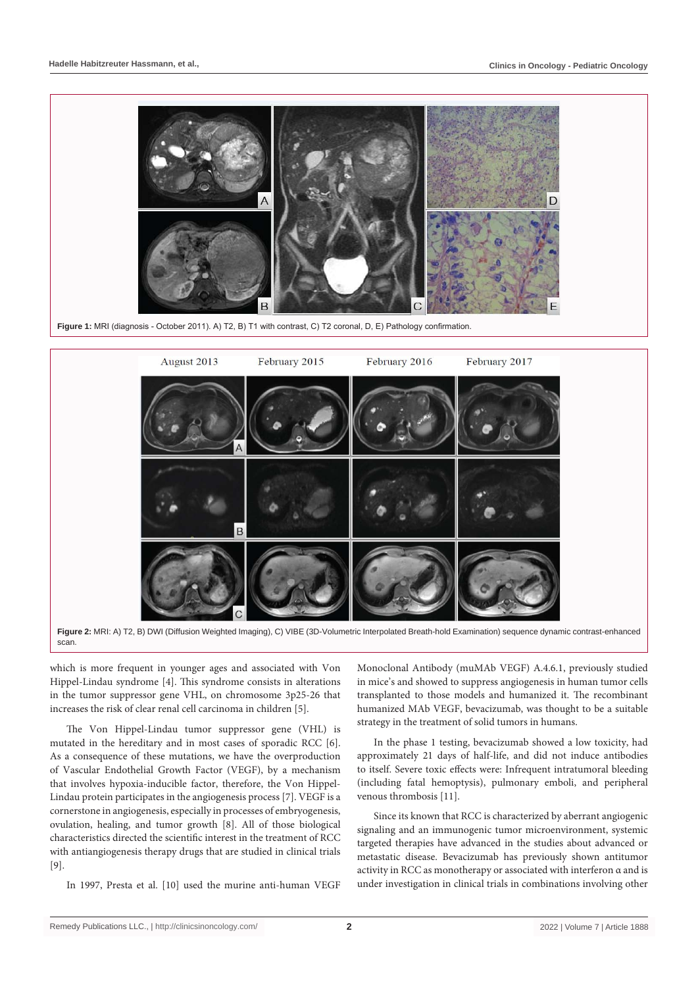

**Figure 1:** MRI (diagnosis - October 2011). A) T2, B) T1 with contrast, C) T2 coronal, D, E) Pathology confirmation.



scan.

which is more frequent in younger ages and associated with Von Hippel-Lindau syndrome [4]. This syndrome consists in alterations in the tumor suppressor gene VHL, on chromosome 3p25-26 that increases the risk of clear renal cell carcinoma in children [5].

The Von Hippel-Lindau tumor suppressor gene (VHL) is mutated in the hereditary and in most cases of sporadic RCC [6]. As a consequence of these mutations, we have the overproduction of Vascular Endothelial Growth Factor (VEGF), by a mechanism that involves hypoxia-inducible factor, therefore, the Von Hippel-Lindau protein participates in the angiogenesis process [7]. VEGF is a cornerstone in angiogenesis, especially in processes of embryogenesis, ovulation, healing, and tumor growth [8]. All of those biological characteristics directed the scientific interest in the treatment of RCC with antiangiogenesis therapy drugs that are studied in clinical trials [9].

In 1997, Presta et al. [10] used the murine anti-human VEGF

Monoclonal Antibody (muMAb VEGF) A.4.6.1, previously studied in mice's and showed to suppress angiogenesis in human tumor cells transplanted to those models and humanized it. The recombinant humanized MAb VEGF, bevacizumab, was thought to be a suitable strategy in the treatment of solid tumors in humans.

In the phase 1 testing, bevacizumab showed a low toxicity, had approximately 21 days of half-life, and did not induce antibodies to itself. Severe toxic effects were: Infrequent intratumoral bleeding (including fatal hemoptysis), pulmonary emboli, and peripheral venous thrombosis [11].

Since its known that RCC is characterized by aberrant angiogenic signaling and an immunogenic tumor microenvironment, systemic targeted therapies have advanced in the studies about advanced or metastatic disease. Bevacizumab has previously shown antitumor activity in RCC as monotherapy or associated with interferon α and is under investigation in clinical trials in combinations involving other